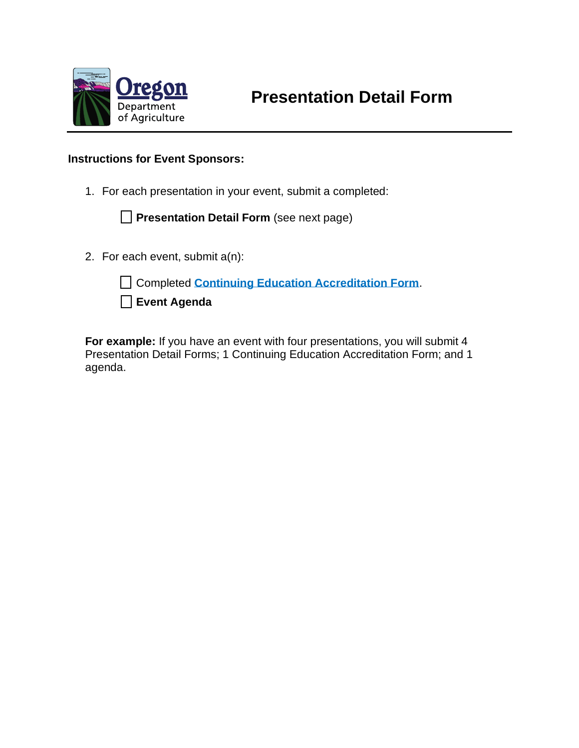

## **Instructions for Event Sponsors:**

1. For each presentation in your event, submit a completed:

**Presentation Detail Form** (see next page)

2. For each event, submit a(n):

Completed **[Continuing Education Accreditation Form](https://www.oregon.gov/ODA/shared/Documents/Publications/PesticidesPARC/RecertificationSponsorRequestForm.pdf)**.

**Event Agenda**

**For example:** If you have an event with four presentations, you will submit 4 Presentation Detail Forms; 1 Continuing Education Accreditation Form; and 1 agenda.